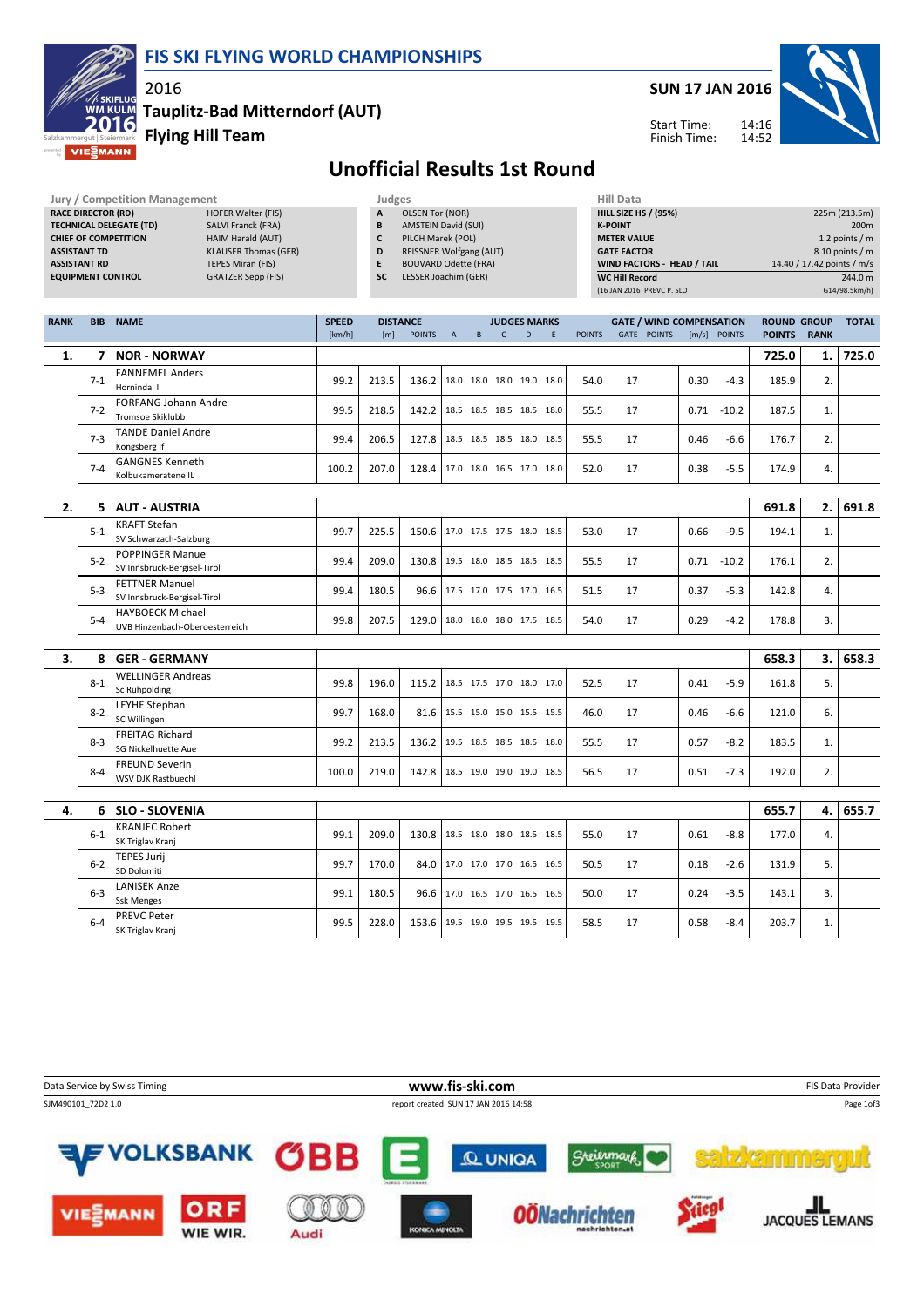

## FIS SKI FLYING WORLD CHAMPIONSHIPS

SUN 17 JAN 2016

Start Time: Finish Time:



Tauplitz-Bad Mitterndorf (AUT)

Jury / Competition Management Judges Hill Data

## Unofficial Results 1st Round

| <b>RACE DIRECTOR (RD)</b><br><b>ASSISTANT TD</b><br><b>ASSISTANT RD</b> |            | <b>TECHNICAL DELEGATE (TD)</b><br><b>CHIEF OF COMPETITION</b><br><b>EQUIPMENT CONTROL</b> | <b>HOFER Walter (FIS)</b><br><b>SALVI Franck (FRA)</b><br>HAIM Harald (AUT)<br><b>KLAUSER Thomas (GER)</b><br>TEPES Miran (FIS)<br><b>GRATZER Sepp (FIS)</b> |              | $-0.55$<br>Α<br>B<br>c<br>D<br>E<br><b>SC</b> | <b>OLSEN Tor (NOR)</b><br><b>AMSTEIN David (SUI)</b><br>PILCH Marek (POL)<br><b>REISSNER Wolfgang (AUT)</b><br><b>BOUVARD Odette (FRA)</b><br>LESSER Joachim (GER) |                                 |   |                          |                          |   |               | <b>K-POINT</b><br><b>METER VALUE</b><br><b>GATE FACTOR</b><br><b>WC Hill Record</b> | <b>HILL SIZE HS / (95%)</b><br>WIND FACTORS - HEAD / TAIL<br>(16 JAN 2016 PREVC P. SLO |      |               |                    |      | 225m (213.5m)<br>200 <sub>m</sub><br>1.2 points $/m$<br>8.10 points / m<br>14.40 / 17.42 points / m/s<br>244.0 m<br>G14/98.5km/h) |
|-------------------------------------------------------------------------|------------|-------------------------------------------------------------------------------------------|--------------------------------------------------------------------------------------------------------------------------------------------------------------|--------------|-----------------------------------------------|--------------------------------------------------------------------------------------------------------------------------------------------------------------------|---------------------------------|---|--------------------------|--------------------------|---|---------------|-------------------------------------------------------------------------------------|----------------------------------------------------------------------------------------|------|---------------|--------------------|------|-----------------------------------------------------------------------------------------------------------------------------------|
| <b>RANK</b>                                                             | <b>BIB</b> | <b>NAME</b>                                                                               |                                                                                                                                                              | <b>SPEED</b> |                                               | <b>DISTANCE</b>                                                                                                                                                    |                                 |   | <b>JUDGES MARKS</b>      |                          |   |               |                                                                                     | <b>GATE / WIND COMPENSATION</b>                                                        |      |               | <b>ROUND GROUP</b> |      | <b>TOTAL</b>                                                                                                                      |
|                                                                         |            |                                                                                           |                                                                                                                                                              | [km/h]       |                                               | [m] POINTS                                                                                                                                                         | A                               | B | $\mathsf{C}$             | D                        | E | <b>POINTS</b> |                                                                                     | GATE POINTS                                                                            |      | [m/s] POINTS  | POINTS RANK        |      |                                                                                                                                   |
| 1.                                                                      | 7          | <b>NOR - NORWAY</b>                                                                       |                                                                                                                                                              |              |                                               |                                                                                                                                                                    |                                 |   |                          |                          |   |               |                                                                                     |                                                                                        |      |               | 725.0              | 1.   | 725.0                                                                                                                             |
|                                                                         | $7-1$      | <b>FANNEMEL Anders</b><br>Hornindal II                                                    |                                                                                                                                                              | 99.2         | 213.5                                         | 136.2                                                                                                                                                              |                                 |   | 18.0 18.0 18.0 19.0 18.0 |                          |   | 54.0          | 17                                                                                  |                                                                                        | 0.30 | $-4.3$        | 185.9              | 2.   |                                                                                                                                   |
|                                                                         | $7 - 2$    | FORFANG Johann Andre<br>Tromsoe Skiklubb                                                  |                                                                                                                                                              | 99.5         | 218.5                                         | 142.2   18.5 18.5 18.5 18.5 18.0                                                                                                                                   |                                 |   |                          |                          |   | 55.5          | 17                                                                                  |                                                                                        |      | $0.71 - 10.2$ | 187.5              | 1.   |                                                                                                                                   |
|                                                                         | $7 - 3$    | <b>TANDE Daniel Andre</b><br>Kongsberg If                                                 |                                                                                                                                                              | 99.4         | 206.5                                         | 127.8   18.5 18.5 18.5 18.0 18.5                                                                                                                                   |                                 |   |                          |                          |   | 55.5          | 17                                                                                  |                                                                                        | 0.46 | $-6.6$        | 176.7              | 2.   |                                                                                                                                   |
|                                                                         | $7 - 4$    | <b>GANGNES Kenneth</b><br>Kolbukameratene IL                                              |                                                                                                                                                              | 100.2        | 207.0                                         | 128.4 17.0 18.0 16.5 17.0 18.0                                                                                                                                     |                                 |   |                          |                          |   | 52.0          | 17                                                                                  |                                                                                        | 0.38 | $-5.5$        | 174.9              | 4.   |                                                                                                                                   |
|                                                                         |            |                                                                                           |                                                                                                                                                              |              |                                               |                                                                                                                                                                    |                                 |   |                          |                          |   |               |                                                                                     |                                                                                        |      |               |                    |      |                                                                                                                                   |
| 2.                                                                      |            | 5 AUT - AUSTRIA                                                                           |                                                                                                                                                              |              |                                               |                                                                                                                                                                    |                                 |   |                          |                          |   |               |                                                                                     |                                                                                        |      |               | 691.8              | 2.   | 691.8                                                                                                                             |
|                                                                         | $5 - 1$    | <b>KRAFT Stefan</b><br>SV Schwarzach-Salzburg                                             |                                                                                                                                                              | 99.7         | 225.5                                         | 150.6                                                                                                                                                              | 17.0 17.5 17.5 18.0 18.5        |   |                          |                          |   | 53.0          | 17                                                                                  |                                                                                        | 0.66 | $-9.5$        | 194.1              | 1.   |                                                                                                                                   |
|                                                                         | $5 - 2$    | <b>POPPINGER Manuel</b><br>SV Innsbruck-Bergisel-Tirol                                    |                                                                                                                                                              | 99.4         | 209.0                                         | 130.8                                                                                                                                                              |                                 |   |                          | 19.5 18.0 18.5 18.5 18.5 |   | 55.5          | 17                                                                                  |                                                                                        |      |               |                    |      |                                                                                                                                   |
|                                                                         |            |                                                                                           |                                                                                                                                                              |              |                                               |                                                                                                                                                                    |                                 |   |                          |                          |   |               |                                                                                     |                                                                                        |      | $0.71 - 10.2$ | 176.1              | 2.   |                                                                                                                                   |
|                                                                         | $5-3$      | <b>FETTNER Manuel</b><br>SV Innsbruck-Bergisel-Tirol                                      |                                                                                                                                                              | 99.4         | 180.5                                         | 96.6                                                                                                                                                               | 17.5 17.0 17.5 17.0 16.5        |   |                          |                          |   | 51.5          | 17                                                                                  |                                                                                        | 0.37 | $-5.3$        | 142.8              | 4.   |                                                                                                                                   |
|                                                                         | $5 - 4$    | <b>HAYBOECK Michael</b><br>UVB Hinzenbach-Oberoesterreich                                 |                                                                                                                                                              | 99.8         | 207.5                                         | 129.0                                                                                                                                                              | 18.0 18.0 18.0 17.5 18.5        |   |                          |                          |   | 54.0          | 17                                                                                  |                                                                                        | 0.29 | $-4.2$        | 178.8              | 3.   |                                                                                                                                   |
|                                                                         |            |                                                                                           |                                                                                                                                                              |              |                                               |                                                                                                                                                                    |                                 |   |                          |                          |   |               |                                                                                     |                                                                                        |      |               |                    |      |                                                                                                                                   |
| 3.                                                                      |            | 8 GER - GERMANY                                                                           |                                                                                                                                                              |              |                                               |                                                                                                                                                                    |                                 |   |                          |                          |   |               |                                                                                     |                                                                                        |      |               | 658.3              | 3. I | 658.3                                                                                                                             |
|                                                                         | $8 - 1$    | <b>WELLINGER Andreas</b><br>Sc Ruhpolding                                                 |                                                                                                                                                              | 99.8         | 196.0                                         | 115.2                                                                                                                                                              | 18.5 17.5 17.0 18.0 17.0        |   |                          |                          |   | 52.5          | 17                                                                                  |                                                                                        | 0.41 | $-5.9$        | 161.8              | 5.   |                                                                                                                                   |
|                                                                         | $8 - 2$    | LEYHE Stephan<br>SC Willingen                                                             |                                                                                                                                                              | 99.7         | 168.0                                         |                                                                                                                                                                    | 81.6   15.5 15.0 15.0 15.5 15.5 |   |                          |                          |   | 46.0          | 17                                                                                  |                                                                                        | 0.46 | $-6.6$        | 121.0              | 6.   |                                                                                                                                   |
|                                                                         | $8 - 3$    | <b>FREITAG Richard</b><br><b>SG Nickelhuette Aue</b>                                      |                                                                                                                                                              | 99.2         | 213.5                                         | 136.2                                                                                                                                                              | 19.5 18.5 18.5 18.5 18.0        |   |                          |                          |   | 55.5          | 17                                                                                  |                                                                                        | 0.57 | $-8.2$        | 183.5              | 1.   |                                                                                                                                   |

|    | $8 - 4$ | <b>FREUND Severin</b><br><b>WSV DJK Rastbuechl</b> | 100.0 | 219.0 | 142.8 | 18.5 19.0 19.0 19.0 18.5 |                     |  | 56.5 | 17 | 0.51 | $-7.3$ | 192.0 | 2.   |       |
|----|---------|----------------------------------------------------|-------|-------|-------|--------------------------|---------------------|--|------|----|------|--------|-------|------|-------|
| 4. | 6       | <b>SLO - SLOVENIA</b>                              |       |       |       |                          |                     |  |      |    |      |        | 655.7 | 4. I | 655.7 |
|    | $6 - 1$ | <b>KRANJEC Robert</b><br>SK Triglav Kranj          | 99.1  | 209.0 | 130.8 | 18.5                     | 18.0 18.0 18.5 18.5 |  | 55.0 | 17 | 0.61 | $-8.8$ | 177.0 | 4.   |       |
|    | $6 - 2$ | <b>TEPES Jurij</b><br>SD Dolomiti                  | 99.7  | 170.0 | 84.0  | 17.0 17.0 17.0 16.5 16.5 |                     |  | 50.5 | 17 | 0.18 | $-2.6$ | 131.9 | 5.   |       |
|    | $6 - 3$ | <b>LANISEK Anze</b><br><b>Ssk Menges</b>           | 99.1  | 180.5 | 96.6  | 17.0 16.5 17.0 16.5 16.5 |                     |  | 50.0 | 17 | 0.24 | $-3.5$ | 143.1 | 3.   |       |
|    | $6 - 4$ | <b>PREVC Peter</b><br>SK Triglav Kranj             | 99.5  | 228.0 | 153.6 | 19.5 19.0 19.5 19.5 19.5 |                     |  | 58.5 | 17 | 0.58 | $-8.4$ | 203.7 | Τ.   |       |

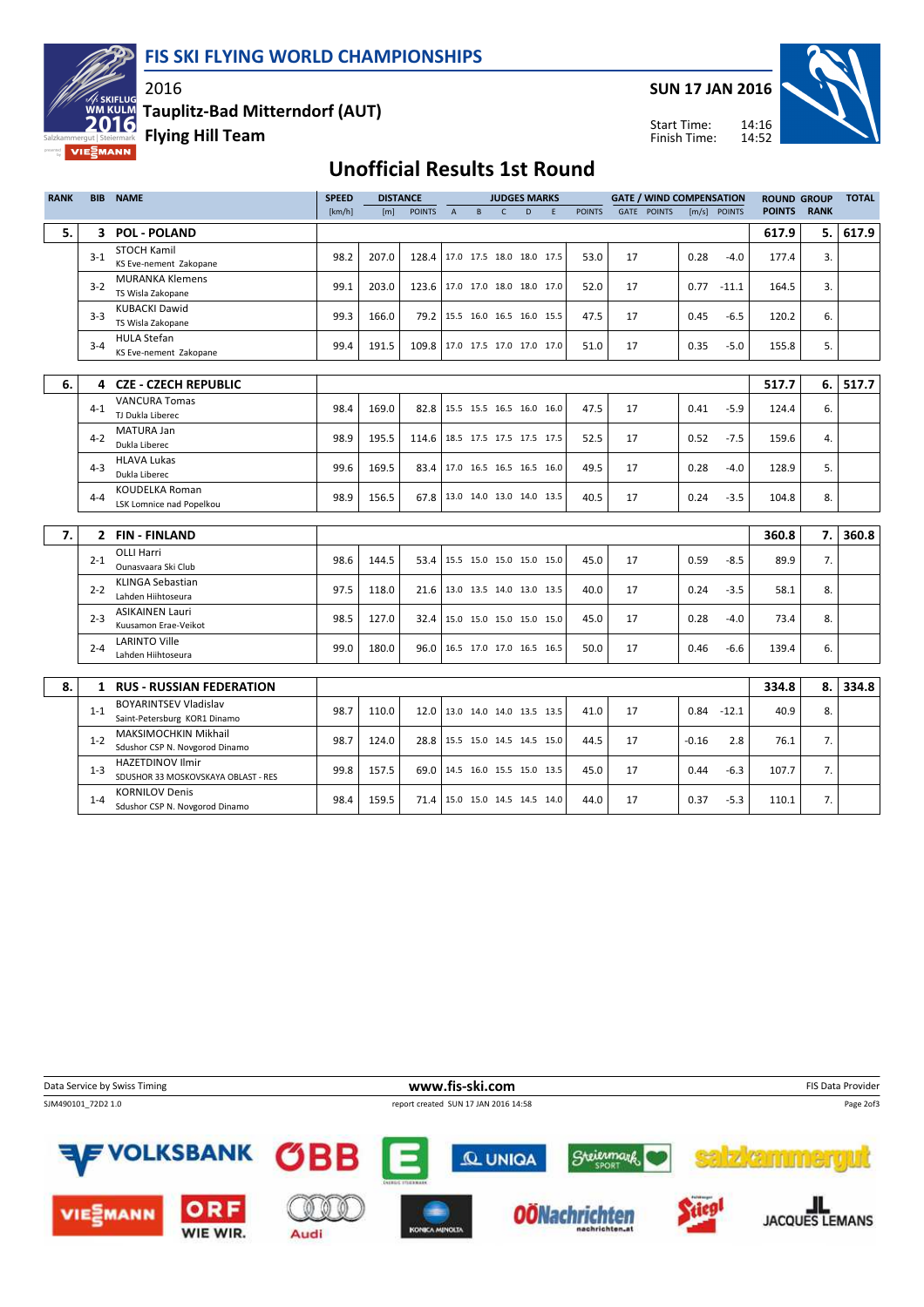

Tauplitz-Bad Mitterndorf (AUT)

Flying Hill Team

2016

 $x = 5$ 





14:16 14:52 Start Time: Finish Time:

## Unofficial Results 1st Round

| <b>RANK</b> |              | <b>BIB NAME</b>                                                | <b>SPEED</b> |       | <b>DISTANCE</b> |                          |   |              | <b>JUDGES MARKS</b>      |   |               |    | <b>GATE / WIND COMPENSATION</b> |         |              | <b>ROUND GROUP</b> |             | <b>TOTAL</b> |
|-------------|--------------|----------------------------------------------------------------|--------------|-------|-----------------|--------------------------|---|--------------|--------------------------|---|---------------|----|---------------------------------|---------|--------------|--------------------|-------------|--------------|
|             |              |                                                                | [km/h]       | [m]   | <b>POINTS</b>   | $\overline{A}$           | B | $\mathsf{C}$ | D                        | E | <b>POINTS</b> |    | <b>GATE POINTS</b>              |         | [m/s] POINTS | <b>POINTS</b>      | <b>RANK</b> |              |
| 5.          |              | 3 POL - POLAND                                                 |              |       |                 |                          |   |              |                          |   |               |    |                                 |         |              | 617.9              | 5.          | 617.9        |
|             | $3-1$        | <b>STOCH Kamil</b><br>KS Eve-nement Zakopane                   | 98.2         | 207.0 | 128.4           |                          |   |              | 17.0 17.5 18.0 18.0 17.5 |   | 53.0          | 17 |                                 | 0.28    | $-4.0$       | 177.4              | 3.          |              |
|             | $3-2$        | <b>MURANKA Klemens</b><br>TS Wisla Zakopane                    | 99.1         | 203.0 | 123.6           |                          |   |              | 17.0 17.0 18.0 18.0 17.0 |   | 52.0          | 17 |                                 | 0.77    | $-11.1$      | 164.5              | 3.          |              |
|             | $3 - 3$      | <b>KUBACKI Dawid</b><br>TS Wisla Zakopane                      | 99.3         | 166.0 | 79.2            |                          |   |              | 15.5 16.0 16.5 16.0 15.5 |   | 47.5          | 17 |                                 | 0.45    | $-6.5$       | 120.2              | 6.          |              |
|             | $3 - 4$      | <b>HULA Stefan</b><br>KS Eve-nement Zakopane                   | 99.4         | 191.5 | 109.8           |                          |   |              | 17.0 17.5 17.0 17.0 17.0 |   | 51.0          | 17 |                                 | 0.35    | $-5.0$       | 155.8              | 5.          |              |
| 6.          |              | 4 CZE - CZECH REPUBLIC                                         |              |       |                 |                          |   |              |                          |   |               |    |                                 |         |              | 517.7              | 6.1         | 517.7        |
|             | $4 - 1$      | <b>VANCURA Tomas</b><br>TJ Dukla Liberec                       | 98.4         | 169.0 | 82.8            |                          |   |              | 15.5 15.5 16.5 16.0 16.0 |   | 47.5          | 17 |                                 | 0.41    | $-5.9$       | 124.4              | 6.          |              |
|             | $4 - 2$      | MATURA Jan<br>Dukla Liberec                                    | 98.9         | 195.5 | 114.6           |                          |   |              | 18.5 17.5 17.5 17.5 17.5 |   | 52.5          | 17 |                                 | 0.52    | $-7.5$       | 159.6              | 4.          |              |
|             | $4 - 3$      | <b>HLAVA Lukas</b><br>Dukla Liberec                            | 99.6         | 169.5 | 83.4            |                          |   |              | 17.0 16.5 16.5 16.5 16.0 |   | 49.5          | 17 |                                 | 0.28    | $-4.0$       | 128.9              | 5.          |              |
|             | $4 - 4$      | <b>KOUDELKA Roman</b><br>LSK Lomnice nad Popelkou              | 98.9         | 156.5 | 67.8            |                          |   |              | 13.0 14.0 13.0 14.0 13.5 |   | 40.5          | 17 |                                 | 0.24    | $-3.5$       | 104.8              | 8.          |              |
|             |              |                                                                |              |       |                 |                          |   |              |                          |   |               |    |                                 |         |              |                    |             |              |
| 7.          |              | 2 FIN-FINLAND                                                  |              |       |                 |                          |   |              |                          |   |               |    |                                 |         |              | 360.8              | 7.          | 360.8        |
|             | $2 - 1$      | <b>OLLI Harri</b><br>Ounasvaara Ski Club                       | 98.6         | 144.5 | 53.4            |                          |   |              | 15.5 15.0 15.0 15.0 15.0 |   | 45.0          | 17 |                                 | 0.59    | $-8.5$       | 89.9               | 7.          |              |
|             | $2 - 2$      | <b>KLINGA Sebastian</b><br>Lahden Hiihtoseura                  | 97.5         | 118.0 | 21.6            |                          |   |              | 13.0 13.5 14.0 13.0 13.5 |   | 40.0          | 17 |                                 | 0.24    | $-3.5$       | 58.1               | 8.          |              |
|             | $2 - 3$      | <b>ASIKAINEN Lauri</b><br>Kuusamon Erae-Veikot                 | 98.5         | 127.0 | 32.4            |                          |   |              | 15.0 15.0 15.0 15.0 15.0 |   | 45.0          | 17 |                                 | 0.28    | $-4.0$       | 73.4               | 8.          |              |
|             | $2 - 4$      | <b>LARINTO Ville</b><br>Lahden Hiihtoseura                     | 99.0         | 180.0 | 96.0            |                          |   |              | 16.5 17.0 17.0 16.5 16.5 |   | 50.0          | 17 |                                 | 0.46    | $-6.6$       | 139.4              | 6.          |              |
|             |              |                                                                |              |       |                 |                          |   |              |                          |   |               |    |                                 |         |              |                    |             |              |
| 8.          | $\mathbf{1}$ | <b>RUS - RUSSIAN FEDERATION</b>                                |              |       |                 |                          |   |              |                          |   |               |    |                                 |         |              | 334.8              | 8.          | 334.8        |
|             | $1 - 1$      | <b>BOYARINTSEV Vladislav</b><br>Saint-Petersburg KOR1 Dinamo   | 98.7         | 110.0 | 12.0            |                          |   |              | 13.0 14.0 14.0 13.5 13.5 |   | 41.0          | 17 |                                 | 0.84    | $-12.1$      | 40.9               | 8.          |              |
|             | $1 - 2$      | <b>MAKSIMOCHKIN Mikhail</b><br>Sdushor CSP N. Novgorod Dinamo  | 98.7         | 124.0 | 28.8            |                          |   |              | 15.5 15.0 14.5 14.5 15.0 |   | 44.5          | 17 |                                 | $-0.16$ | 2.8          | 76.1               | 7.          |              |
|             | $1 - 3$      | <b>HAZETDINOV Ilmir</b><br>SDUSHOR 33 MOSKOVSKAYA OBLAST - RES | 99.8         | 157.5 | 69.0            |                          |   |              | 14.5 16.0 15.5 15.0 13.5 |   | 45.0          | 17 |                                 | 0.44    | $-6.3$       | 107.7              | 7.          |              |
|             | $1 - 4$      | <b>KORNILOV Denis</b><br>Sdushor CSP N. Novgorod Dinamo        | 98.4         | 159.5 | 71.4            | 15.0 15.0 14.5 14.5 14.0 |   |              |                          |   | 44.0          | 17 |                                 | 0.37    | $-5.3$       | 110.1              | 7.          |              |